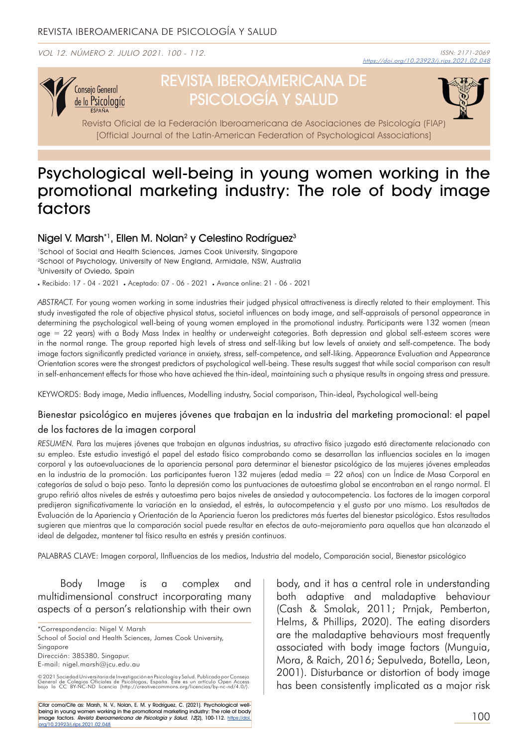VOL 12. NÚMERO 2. JULIO 2021. 100 - 112.



# REVISTA IBEROAMERICANA DE PSICOLOGÍA Y SALUD



Revista Oficial de la Federación Iberoamericana de Asociaciones de Psicología (FIAP) [Official Journal of the Latin-American Federation of Psychological Associations]

## Psychological well-being in young women working in the promotional marketing industry: The role of body image factors

#### Nigel V. Marsh\*1, Ellen M. Nolan<sup>2</sup> y Celestino Rodríguez<sup>3</sup>

<sup>1</sup>School of Social and Health Sciences, James Cook University, Singapore 2School of Psychology, University of New England, Armidale, NSW, Australia 3University of Oviedo, Spain

Recibido: 17 - 04 - 2021 Aceptado: 07 - 06 - 2021 Avance online: 21 - 06 - 2021

*ABSTRACT.* For young women working in some industries their judged physical attractiveness is directly related to their employment. This study investigated the role of objective physical status, societal influences on body image, and self-appraisals of personal appearance in determining the psychological well-being of young women employed in the promotional industry. Participants were 132 women (mean age = 22 years) with a Body Mass Index in healthy or underweight categories. Both depression and global self-esteem scores were in the normal range. The group reported high levels of stress and self-liking but low levels of anxiety and self-competence. The body image factors significantly predicted variance in anxiety, stress, self-competence, and self-liking. Appearance Evaluation and Appearance Orientation scores were the strongest predictors of psychological well-being. These results suggest that while social comparison can result in self-enhancement effects for those who have achieved the thin-ideal, maintaining such a physique results in ongoing stress and pressure.

KEYWORDS: Body image, Media influences, Modelling industry, Social comparison, Thin-ideal, Psychological well-being

#### Bienestar psicológico en mujeres jóvenes que trabajan en la industria del marketing promocional: el papel de los factores de la imagen corporal

*RESUMEN.* Para las mujeres jóvenes que trabajan en algunas industrias, su atractivo físico juzgado está directamente relacionado con su empleo. Este estudio investigó el papel del estado físico comprobando como se desarrollan las influencias sociales en la imagen corporal y las autoevaluaciones de la apariencia personal para determinar el bienestar psicológico de las mujeres jóvenes empleadas en la industria de la promoción. Las participantes fueron 132 mujeres (edad media = 22 años) con un Índice de Masa Corporal en categorías de salud o bajo peso. Tanto la depresión como las puntuaciones de autoestima global se encontraban en el rango normal. El grupo refirió altos niveles de estrés y autoestima pero bajos niveles de ansiedad y autocompetencia. Los factores de la imagen corporal predijeron significativamente la variación en la ansiedad, el estrés, la autocompetencia y el gusto por uno mismo. Los resultados de Evaluación de la Apariencia y Orientación de la Apariencia fueron los predictores más fuertes del bienestar psicológico. Estos resultados sugieren que mientras que la comparación social puede resultar en efectos de auto-mejoramiento para aquellos que han alcanzado el ideal de delgadez, mantener tal físico resulta en estrés y presión continuos.

PALABRAS CLAVE: Imagen corporal, IInfluencias de los medios, Industria del modelo, Comparación social, Bienestar psicológico

Body Image is a complex and multidimensional construct incorporating many aspects of a person's relationship with their own

\*Correspondencia: Nigel V. Marsh School of Social and Health Sciences, James Cook University, Singapore Dirección: 385380. Singapur. E-mail: nigel.marsh@jcu.edu.au

© 2021 Sociedad Universitaria de Investigación en Psicología y Salud. Publicado por Consejo<br>General de Colegios Oficiales de Psicólogos, España. Este es un artículo Open Access<br>bajo la CC BY-NC-ND licencia (htt

Citar como/Cite as: Marsh, N. V., Nolan, E. M. y Rodríguez, C. (2021). Psychological wellbeing in young women working in the promotional marketing industry: The role of body <mark>image factors. *Revista Iberoamericana de Psicología y Salud, 12*(2), 100-112. <u>https://doi.</u><br>org/10.23923/j.rips.2021.02.048</mark>

body, and it has a central role in understanding both adaptive and maladaptive behaviour (Cash & Smolak, 2011; Prnjak, Pemberton, Helms, & Phillips, 2020). The eating disorders are the maladaptive behaviours most frequently associated with body image factors (Munguia, Mora, & Raich, 2016; Sepulveda, Botella, Leon, 2001). Disturbance or distortion of body image has been consistently implicated as a major risk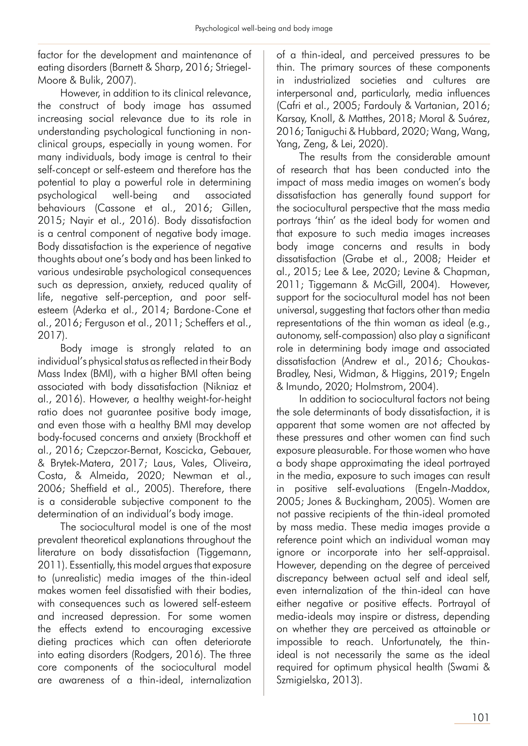factor for the development and maintenance of eating disorders (Barnett & Sharp, 2016; Striegel-Moore & Bulik, 2007).

However, in addition to its clinical relevance, the construct of body image has assumed increasing social relevance due to its role in understanding psychological functioning in nonclinical groups, especially in young women. For many individuals, body image is central to their self-concept or self-esteem and therefore has the potential to play a powerful role in determining psychological well-being and associated behaviours (Cassone et al., 2016; Gillen, 2015; Nayir et al., 2016). Body dissatisfaction is a central component of negative body image. Body dissatisfaction is the experience of negative thoughts about one's body and has been linked to various undesirable psychological consequences such as depression, anxiety, reduced quality of life, negative self-perception, and poor selfesteem (Aderka et al., 2014; Bardone-Cone et al., 2016; Ferguson et al., 2011; Scheffers et al., 2017).

Body image is strongly related to an individual's physical status as reflected in their Body Mass Index (BMI), with a higher BMI often being associated with body dissatisfaction (Nikniaz et al., 2016). However, a healthy weight-for-height ratio does not guarantee positive body image, and even those with a healthy BMI may develop body-focused concerns and anxiety (Brockhoff et al., 2016; Czepczor-Bernat, Koscicka, Gebauer, & Brytek-Matera, 2017; Laus, Vales, Oliveira, Costa, & Almeida, 2020; Newman et al., 2006; Sheffield et al., 2005). Therefore, there is a considerable subjective component to the determination of an individual's body image.

The sociocultural model is one of the most prevalent theoretical explanations throughout the literature on body dissatisfaction (Tiggemann, 2011). Essentially, this model argues that exposure to (unrealistic) media images of the thin-ideal makes women feel dissatisfied with their bodies, with consequences such as lowered self-esteem and increased depression. For some women the effects extend to encouraging excessive dieting practices which can often deteriorate into eating disorders (Rodgers, 2016). The three core components of the sociocultural model are awareness of a thin-ideal, internalization

of a thin-ideal, and perceived pressures to be thin. The primary sources of these components in industrialized societies and cultures are interpersonal and, particularly, media influences (Cafri et al., 2005; Fardouly & Vartanian, 2016; Karsay, Knoll, & Matthes, 2018; Moral & Suárez, 2016; Taniguchi & Hubbard, 2020; Wang, Wang, Yang, Zeng, & Lei, 2020).

The results from the considerable amount of research that has been conducted into the impact of mass media images on women's body dissatisfaction has generally found support for the sociocultural perspective that the mass media portrays 'thin' as the ideal body for women and that exposure to such media images increases body image concerns and results in body dissatisfaction (Grabe et al., 2008; Heider et al., 2015; Lee & Lee, 2020; Levine & Chapman, 2011; Tiggemann & McGill, 2004). However, support for the sociocultural model has not been universal, suggesting that factors other than media representations of the thin woman as ideal (e.g., autonomy, self-compassion) also play a significant role in determining body image and associated dissatisfaction (Andrew et al., 2016; Choukas-Bradley, Nesi, Widman, & Higgins, 2019; Engeln & Imundo, 2020; Holmstrom, 2004).

In addition to sociocultural factors not being the sole determinants of body dissatisfaction, it is apparent that some women are not affected by these pressures and other women can find such exposure pleasurable. For those women who have a body shape approximating the ideal portrayed in the media, exposure to such images can result in positive self-evaluations (Engeln-Maddox, 2005; Jones & Buckingham, 2005). Women are not passive recipients of the thin-ideal promoted by mass media. These media images provide a reference point which an individual woman may ignore or incorporate into her self-appraisal. However, depending on the degree of perceived discrepancy between actual self and ideal self, even internalization of the thin-ideal can have either negative or positive effects. Portrayal of media-ideals may inspire or distress, depending on whether they are perceived as attainable or impossible to reach. Unfortunately, the thinideal is not necessarily the same as the ideal required for optimum physical health (Swami & Szmigielska, 2013).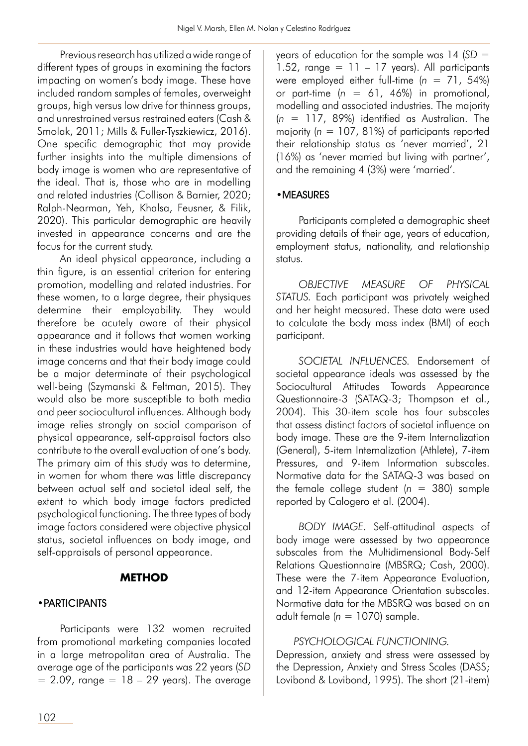Previous research has utilized a wide range of different types of groups in examining the factors impacting on women's body image. These have included random samples of females, overweight groups, high versus low drive for thinness groups, and unrestrained versus restrained eaters (Cash & Smolak, 2011; Mills & Fuller-Tyszkiewicz, 2016). One specific demographic that may provide further insights into the multiple dimensions of body image is women who are representative of the ideal. That is, those who are in modelling and related industries (Collison & Barnier, 2020; Ralph-Nearman, Yeh, Khalsa, Feusner, & Filik, 2020). This particular demographic are heavily invested in appearance concerns and are the focus for the current study.

An ideal physical appearance, including a thin figure, is an essential criterion for entering promotion, modelling and related industries. For these women, to a large degree, their physiques determine their employability. They would therefore be acutely aware of their physical appearance and it follows that women working in these industries would have heightened body image concerns and that their body image could be a major determinate of their psychological well-being (Szymanski & Feltman, 2015). They would also be more susceptible to both media and peer sociocultural influences. Although body image relies strongly on social comparison of physical appearance, self-appraisal factors also contribute to the overall evaluation of one's body. The primary aim of this study was to determine, in women for whom there was little discrepancy between actual self and societal ideal self, the extent to which body image factors predicted psychological functioning. The three types of body image factors considered were objective physical status, societal influences on body image, and self-appraisals of personal appearance.

## **METHOD**

## •PARTICIPANTS

Participants were 132 women recruited from promotional marketing companies located in a large metropolitan area of Australia. The average age of the participants was 22 years (*SD*  $= 2.09$ , range  $= 18 - 29$  years). The average years of education for the sample was 14 (*SD* =  $1.52$ , range = 11 – 17 years). All participants were employed either full-time  $(n = 71, 54\%)$ or part-time (*n* = 61, 46%) in promotional, modelling and associated industries. The majority (*n* = 117, 89%) identified as Australian. The majority (*n* = 107, 81%) of participants reported their relationship status as 'never married', 21 (16%) as 'never married but living with partner', and the remaining 4 (3%) were 'married'.

## •MEASURES

Participants completed a demographic sheet providing details of their age, years of education, employment status, nationality, and relationship status.

*OBJECTIVE MEASURE OF PHYSICAL STATUS.* Each participant was privately weighed and her height measured. These data were used to calculate the body mass index (BMI) of each participant.

*SOCIETAL INFLUENCES.* Endorsement of societal appearance ideals was assessed by the Sociocultural Attitudes Towards Appearance Questionnaire-3 (SATAQ-3; Thompson et al., 2004). This 30-item scale has four subscales that assess distinct factors of societal influence on body image. These are the 9-item Internalization (General), 5-item Internalization (Athlete), 7-item Pressures, and 9-item Information subscales. Normative data for the SATAQ-3 was based on the female college student  $(n = 380)$  sample reported by Calogero et al. (2004).

*BODY IMAGE.* Self-attitudinal aspects of body image were assessed by two appearance subscales from the Multidimensional Body-Self Relations Questionnaire (MBSRQ; Cash, 2000). These were the 7-item Appearance Evaluation, and 12-item Appearance Orientation subscales. Normative data for the MBSRQ was based on an adult female (*n* = 1070) sample.

## *PSYCHOLOGICAL FUNCTIONING.*

Depression, anxiety and stress were assessed by the Depression, Anxiety and Stress Scales (DASS; Lovibond & Lovibond, 1995). The short (21-item)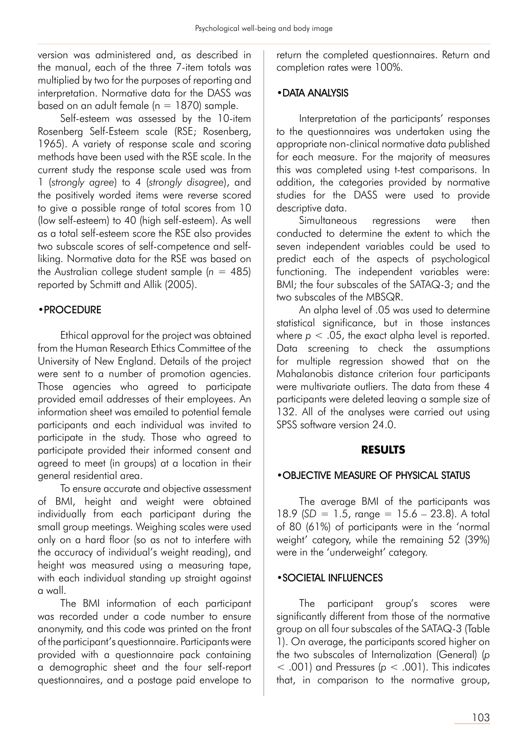version was administered and, as described in the manual, each of the three 7-item totals was multiplied by two for the purposes of reporting and interpretation. Normative data for the DASS was based on an adult female ( $n = 1870$ ) sample.

Self-esteem was assessed by the 10-item Rosenberg Self-Esteem scale (RSE; Rosenberg, 1965). A variety of response scale and scoring methods have been used with the RSE scale. In the current study the response scale used was from 1 (*strongly agree*) to 4 (*strongly disagree*), and the positively worded items were reverse scored to give a possible range of total scores from 10 (low self-esteem) to 40 (high self-esteem). As well as a total self-esteem score the RSE also provides two subscale scores of self-competence and selfliking. Normative data for the RSE was based on the Australian college student sample  $(n = 485)$ reported by Schmitt and Allik (2005).

#### •PROCEDURE

Ethical approval for the project was obtained from the Human Research Ethics Committee of the University of New England. Details of the project were sent to a number of promotion agencies. Those agencies who agreed to participate provided email addresses of their employees. An information sheet was emailed to potential female participants and each individual was invited to participate in the study. Those who agreed to participate provided their informed consent and agreed to meet (in groups) at a location in their general residential area.

To ensure accurate and objective assessment of BMI, height and weight were obtained individually from each participant during the small group meetings. Weighing scales were used only on a hard floor (so as not to interfere with the accuracy of individual's weight reading), and height was measured using a measuring tape, with each individual standing up straight against a wall.

The BMI information of each participant was recorded under a code number to ensure anonymity, and this code was printed on the front of the participant's questionnaire. Participants were provided with a questionnaire pack containing a demographic sheet and the four self-report questionnaires, and a postage paid envelope to

return the completed questionnaires. Return and completion rates were 100%.

#### •DATA ANALYSIS

Interpretation of the participants' responses to the questionnaires was undertaken using the appropriate non-clinical normative data published for each measure. For the majority of measures this was completed using t-test comparisons. In addition, the categories provided by normative studies for the DASS were used to provide descriptive data.

Simultaneous regressions were then conducted to determine the extent to which the seven independent variables could be used to predict each of the aspects of psychological functioning. The independent variables were: BMI; the four subscales of the SATAQ-3; and the two subscales of the MBSQR.

An alpha level of .05 was used to determine statistical significance, but in those instances where  $p < 0.05$ , the exact alpha level is reported. Data screening to check the assumptions for multiple regression showed that on the Mahalanobis distance criterion four participants were multivariate outliers. The data from these 4 participants were deleted leaving a sample size of 132. All of the analyses were carried out using SPSS software version 24.0.

#### **RESULTS**

#### •OBJECTIVE MEASURE OF PHYSICAL STATUS

The average BMI of the participants was 18.9 (*SD* = 1.5, range = 15.6 – 23.8). A total of 80 (61%) of participants were in the 'normal weight' category, while the remaining 52 (39%) were in the 'underweight' category.

#### •SOCIETAL INFLUENCES

The participant group's scores were significantly different from those of the normative group on all four subscales of the SATAQ-3 (Table 1). On average, the participants scored higher on the two subscales of Internalization (General) (*p*  $<$  .001) and Pressures ( $p <$  .001). This indicates that, in comparison to the normative group,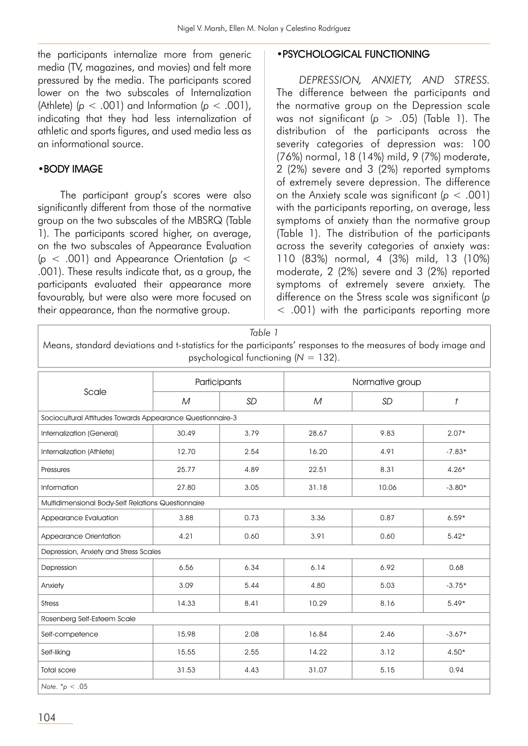the participants internalize more from generic media (TV, magazines, and movies) and felt more pressured by the media. The participants scored lower on the two subscales of Internalization (Athlete)  $(p < .001)$  and Information  $(p < .001)$ , indicating that they had less internalization of athletic and sports figures, and used media less as an informational source.

#### •BODY IMAGE

The participant group's scores were also significantly different from those of the normative group on the two subscales of the MBSRQ (Table 1). The participants scored higher, on average, on the two subscales of Appearance Evaluation (*p* < .001) and Appearance Orientation (*p* < .001). These results indicate that, as a group, the participants evaluated their appearance more favourably, but were also were more focused on their appearance, than the normative group.

#### •PSYCHOLOGICAL FUNCTIONING

*DEPRESSION, ANXIETY, AND STRESS.* The difference between the participants and the normative group on the Depression scale was not significant (*p* > .05) (Table 1). The distribution of the participants across the severity categories of depression was: 100 (76%) normal, 18 (14%) mild, 9 (7%) moderate, 2 (2%) severe and 3 (2%) reported symptoms of extremely severe depression. The difference on the Anxiety scale was significant (*p* < .001) with the participants reporting, on average, less symptoms of anxiety than the normative group (Table 1). The distribution of the participants across the severity categories of anxiety was: 110 (83%) normal, 4 (3%) mild, 13 (10%) moderate, 2 (2%) severe and 3 (2%) reported symptoms of extremely severe anxiety. The difference on the Stress scale was significant (*p* < .001) with the participants reporting more

| Means, standard deviations and t-statistics for the participants' responses to the measures of body image and |                                                    | Table 1<br>psychological functioning ( $N = 132$ ). |                 |           |                               |  |  |  |
|---------------------------------------------------------------------------------------------------------------|----------------------------------------------------|-----------------------------------------------------|-----------------|-----------|-------------------------------|--|--|--|
| Scale                                                                                                         | Participants                                       |                                                     | Normative group |           |                               |  |  |  |
|                                                                                                               | $\cal M$                                           | <b>SD</b>                                           | M               | <b>SD</b> | $\ensuremath{\mathnormal{t}}$ |  |  |  |
| Sociocultural Attitudes Towards Appearance Questionnaire-3                                                    |                                                    |                                                     |                 |           |                               |  |  |  |
| Internalization (General)                                                                                     | 30.49                                              | 3.79                                                | 28.67           | 9.83      | $2.07*$                       |  |  |  |
| Internalization (Athlete)                                                                                     | 12.70                                              | 2.54                                                | 16.20           | 4.91      | $-7.83*$                      |  |  |  |
| Pressures                                                                                                     | 25.77                                              | 4.89                                                | 22.51           | 8.31      | $4.26*$                       |  |  |  |
| Information                                                                                                   | 27.80                                              | 3.05                                                | 31.18           | 10.06     | $-3.80*$                      |  |  |  |
|                                                                                                               | Multidimensional Body-Self Relations Questionnaire |                                                     |                 |           |                               |  |  |  |
| Appearance Evaluation                                                                                         | 3.88                                               | 0.73                                                | 3.36            | 0.87      | $6.59*$                       |  |  |  |
| Appearance Orientation                                                                                        | 4.21                                               | 0.60                                                | 3.91            | 0.60      | $5.42*$                       |  |  |  |
| Depression, Anxiety and Stress Scales                                                                         |                                                    |                                                     |                 |           |                               |  |  |  |
| Depression                                                                                                    | 6.56                                               | 6.34                                                | 6.14            | 6.92      | 0.68                          |  |  |  |
| Anxiety                                                                                                       | 3.09                                               | 5.44                                                | 4.80            | 5.03      | $-3.75*$                      |  |  |  |
| <b>Stress</b>                                                                                                 | 14.33                                              | 8.41                                                | 10.29           | 8.16      | $5.49*$                       |  |  |  |
| Rosenberg Self-Esteem Scale                                                                                   |                                                    |                                                     |                 |           |                               |  |  |  |
| Self-competence                                                                                               | 15.98                                              | 2.08                                                | 16.84           | 2.46      | $-3.67*$                      |  |  |  |
| Self-liking                                                                                                   | 15.55                                              | 2.55                                                | 14.22           | 3.12      | $4.50*$                       |  |  |  |
| <b>Total score</b>                                                                                            | 31.53                                              | 4.43                                                | 31.07           | 5.15      | 0.94                          |  |  |  |
| Note. $*_{p} < .05$                                                                                           |                                                    |                                                     |                 |           |                               |  |  |  |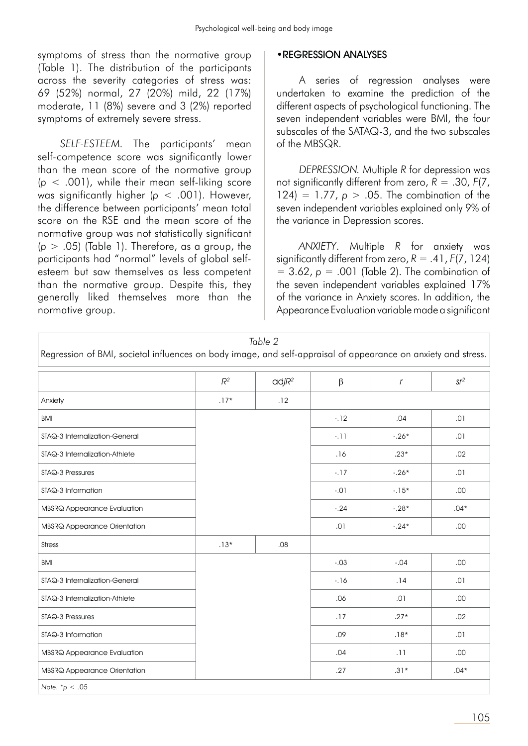symptoms of stress than the normative group (Table 1). The distribution of the participants across the severity categories of stress was: 69 (52%) normal, 27 (20%) mild, 22 (17%) moderate, 11 (8%) severe and 3 (2%) reported symptoms of extremely severe stress.

*SELF-ESTEEM.* The participants' mean self-competence score was significantly lower than the mean score of the normative group (*p* < .001), while their mean self-liking score was significantly higher (*p* < .001). However, the difference between participants' mean total score on the RSE and the mean score of the normative group was not statistically significant  $(p > .05)$  (Table 1). Therefore, as a group, the participants had "normal" levels of global selfesteem but saw themselves as less competent than the normative group. Despite this, they generally liked themselves more than the normative group.

#### •REGRESSION ANALYSES

A series of regression analyses were undertaken to examine the prediction of the different aspects of psychological functioning. The seven independent variables were BMI, the four subscales of the SATAQ-3, and the two subscales of the MBSQR.

*DEPRESSION.* Multiple *R* for depression was not significantly different from zero,  $R = .30$ ,  $F(7)$ , 124) = 1.77,  $p > .05$ . The combination of the seven independent variables explained only 9% of the variance in Depression scores.

*ANXIETY*. Multiple *R* for anxiety was significantly different from zero,  $R = .41$ ,  $F(7, 124)$ = 3.62, *p* = .001 (Table 2). The combination of the seven independent variables explained 17% of the variance in Anxiety scores. In addition, the Appearance Evaluation variable made a significant

| Regression of BMI, societal influences on body image, and self-appraisal of appearance on anxiety and stress. |        | Table 2           |         |               |        |
|---------------------------------------------------------------------------------------------------------------|--------|-------------------|---------|---------------|--------|
|                                                                                                               | $R^2$  | $\alpha$ dj $R^2$ | $\beta$ | $\mathcal{L}$ | $sr^2$ |
| Anxiety                                                                                                       | $.17*$ | .12               |         |               |        |
| <b>BMI</b>                                                                                                    |        |                   | $-12$   | .04           | .01    |
| STAQ-3 Internalization-General                                                                                |        |                   | $-11$   | $-.26*$       | .01    |
| STAQ-3 Internalization-Athlete                                                                                |        |                   | .16     | $.23*$        | .02    |
| STAQ-3 Pressures                                                                                              |        |                   | $-17$   | $-.26*$       | .01    |
| STAQ-3 Information                                                                                            |        |                   | $-.01$  | $-15*$        | .00    |
| <b>MBSRQ Appearance Evaluation</b>                                                                            |        |                   | $-.24$  | $-.28*$       | $.04*$ |
| <b>MBSRQ Appearance Orientation</b>                                                                           |        |                   | .01     | $-.24*$       | .00.   |
| <b>Stress</b>                                                                                                 | $.13*$ | .08               |         |               |        |
| <b>BMI</b>                                                                                                    |        |                   | $-.03$  | $-.04$        | .00.   |
| STAQ-3 Internalization-General                                                                                |        |                   | $-16$   | .14           | .01    |
| STAQ-3 Internalization-Athlete                                                                                |        |                   | .06     | .01           | .00    |
| STAQ-3 Pressures                                                                                              |        |                   | .17     | $.27*$        | .02    |
| STAQ-3 Information                                                                                            |        |                   | .09     | $.18*$        | .01    |
| <b>MBSRQ Appearance Evaluation</b>                                                                            |        |                   | .04     | .11           | .00.   |
| <b>MBSRQ Appearance Orientation</b>                                                                           |        |                   | .27     | $.31*$        | $.04*$ |
| Note. $*_{p} < .05$                                                                                           |        |                   |         |               |        |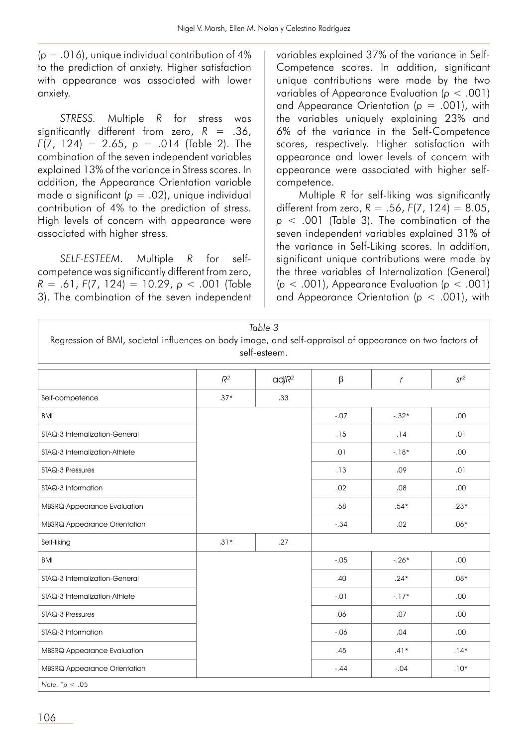(*p* = .016), unique individual contribution of 4% to the prediction of anxiety. Higher satisfaction with appearance was associated with lower anxiety.

*STRESS.* Multiple *R* for stress was significantly different from zero, *R* = .36, *F*(7, 124) = 2.65, *p* = .014 (Table 2). The combination of the seven independent variables explained 13% of the variance in Stress scores. In addition, the Appearance Orientation variable made a significant (*p* = .02), unique individual contribution of 4% to the prediction of stress. High levels of concern with appearance were associated with higher stress.

*SELF-ESTEEM*. Multiple *R* for selfcompetence was significantly different from zero, *R* = .61, *F*(7, 124) = 10.29, *p* < .001 (Table 3). The combination of the seven independent variables explained 37% of the variance in Self-Competence scores. In addition, significant unique contributions were made by the two variables of Appearance Evaluation (*p* < .001) and Appearance Orientation (*p* = .001), with the variables uniquely explaining 23% and 6% of the variance in the Self-Competence scores, respectively. Higher satisfaction with appearance and lower levels of concern with appearance were associated with higher selfcompetence.

Multiple *R* for self-liking was significantly different from zero,  $R = .56$ ,  $F(7, 124) = 8.05$ , *p* < .001 (Table 3). The combination of the seven independent variables explained 31% of the variance in Self-Liking scores. In addition, significant unique contributions were made by the three variables of Internalization (General) (*p* < .001), Appearance Evaluation (*p* < .001) and Appearance Orientation (*p* < .001), with

| Regression of BMI, societal influences on body image, and self-appraisal of appearance on two factors of |        | Table 3<br>self-esteem. |        |            |                 |
|----------------------------------------------------------------------------------------------------------|--------|-------------------------|--------|------------|-----------------|
|                                                                                                          | $R^2$  | $\alpha$ dj $R^2$       | β      | $\sqrt{ }$ | sr <sup>2</sup> |
| Self-competence                                                                                          | $.37*$ | .33                     |        |            |                 |
| <b>BMI</b>                                                                                               |        |                         | $-.07$ | $-.32*$    | .00             |
| STAQ-3 Internalization-General                                                                           |        |                         | .15    | .14        | .01             |
| STAQ-3 Internalization-Athlete                                                                           |        |                         | .01    | $-18*$     | .00.            |
| STAQ-3 Pressures                                                                                         |        |                         | .13    | ,09        | .01             |
| STAQ-3 Information                                                                                       |        |                         | .02    | .08        | .00.            |
| <b>MBSRQ Appearance Evaluation</b>                                                                       |        |                         | .58    | $.54*$     | $.23*$          |
| <b>MBSRQ Appearance Orientation</b>                                                                      |        |                         | $-.34$ | .02        | $.06*$          |
| Self-liking                                                                                              | $.31*$ | .27                     |        |            |                 |
| <b>BMI</b>                                                                                               |        |                         | $-.05$ | $-.26*$    | .00.            |
| STAQ-3 Internalization-General                                                                           |        |                         | .40    | $.24*$     | $.08*$          |

 $SIAQ-3$  Internalization-Athlete  $.01$   $.17*$   $.00$ 

STAQ-3 Pressures .06 .07 .00 STAQ-3 Information -.06 .04 .00

MBSRQ Appearance Evaluation .45 .41\* .14\*

106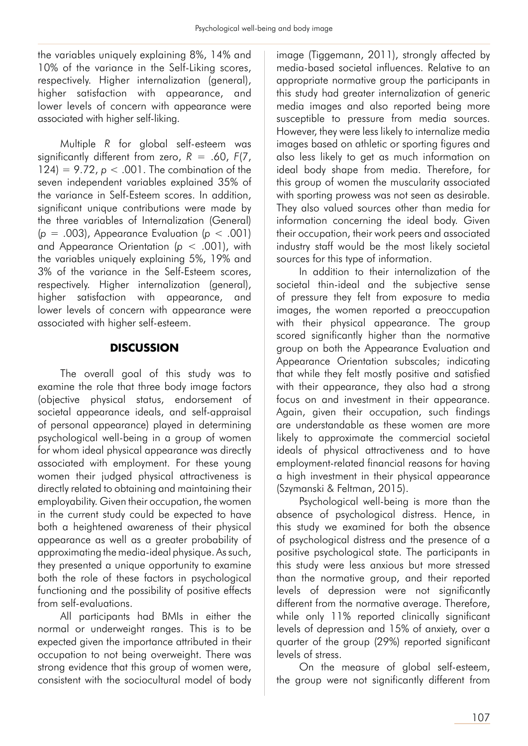the variables uniquely explaining 8%, 14% and 10% of the variance in the Self-Liking scores, respectively. Higher internalization (general), higher satisfaction with appearance, and lower levels of concern with appearance were associated with higher self-liking.

Multiple *R* for global self-esteem was significantly different from zero, *R* = .60, *F*(7, 124) =  $9.72$ ,  $p < .001$ . The combination of the seven independent variables explained 35% of the variance in Self-Esteem scores. In addition, significant unique contributions were made by the three variables of Internalization (General) (*p* = .003), Appearance Evaluation (*p* < .001) and Appearance Orientation (*p* < .001), with the variables uniquely explaining 5%, 19% and 3% of the variance in the Self-Esteem scores, respectively. Higher internalization (general), higher satisfaction with appearance, and lower levels of concern with appearance were associated with higher self-esteem.

## **DISCUSSION**

The overall goal of this study was to examine the role that three body image factors (objective physical status, endorsement of societal appearance ideals, and self-appraisal of personal appearance) played in determining psychological well-being in a group of women for whom ideal physical appearance was directly associated with employment. For these young women their judged physical attractiveness is directly related to obtaining and maintaining their employability. Given their occupation, the women in the current study could be expected to have both a heightened awareness of their physical appearance as well as a greater probability of approximating the media-ideal physique. As such, they presented a unique opportunity to examine both the role of these factors in psychological functioning and the possibility of positive effects from self-evaluations.

All participants had BMIs in either the normal or underweight ranges. This is to be expected given the importance attributed in their occupation to not being overweight. There was strong evidence that this group of women were, consistent with the sociocultural model of body image (Tiggemann, 2011), strongly affected by media-based societal influences. Relative to an appropriate normative group the participants in this study had greater internalization of generic media images and also reported being more susceptible to pressure from media sources. However, they were less likely to internalize media images based on athletic or sporting figures and also less likely to get as much information on ideal body shape from media. Therefore, for this group of women the muscularity associated with sporting prowess was not seen as desirable. They also valued sources other than media for information concerning the ideal body. Given their occupation, their work peers and associated industry staff would be the most likely societal sources for this type of information.

In addition to their internalization of the societal thin-ideal and the subjective sense of pressure they felt from exposure to media images, the women reported a preoccupation with their physical appearance. The group scored significantly higher than the normative group on both the Appearance Evaluation and Appearance Orientation subscales; indicating that while they felt mostly positive and satisfied with their appearance, they also had a strong focus on and investment in their appearance. Again, given their occupation, such findings are understandable as these women are more likely to approximate the commercial societal ideals of physical attractiveness and to have employment-related financial reasons for having a high investment in their physical appearance (Szymanski & Feltman, 2015).

Psychological well-being is more than the absence of psychological distress. Hence, in this study we examined for both the absence of psychological distress and the presence of a positive psychological state. The participants in this study were less anxious but more stressed than the normative group, and their reported levels of depression were not significantly different from the normative average. Therefore, while only 11% reported clinically significant levels of depression and 15% of anxiety, over a quarter of the group (29%) reported significant levels of stress.

On the measure of global self-esteem, the group were not significantly different from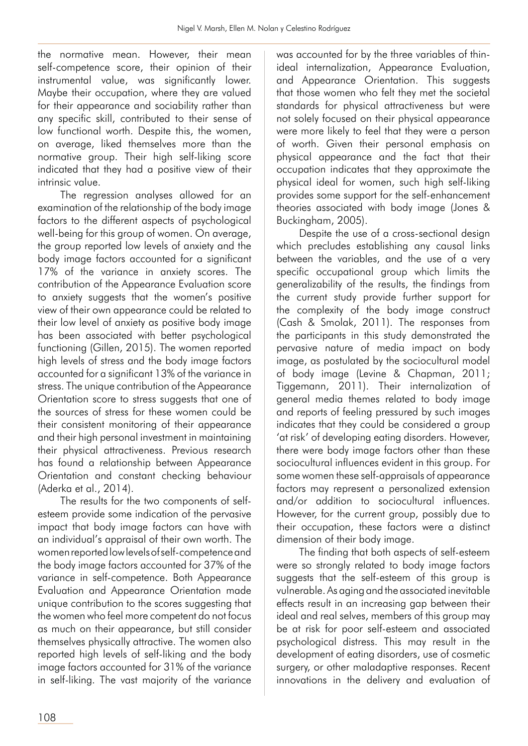the normative mean. However, their mean self-competence score, their opinion of their instrumental value, was significantly lower. Maybe their occupation, where they are valued for their appearance and sociability rather than any specific skill, contributed to their sense of low functional worth. Despite this, the women, on average, liked themselves more than the normative group. Their high self-liking score indicated that they had a positive view of their intrinsic value.

The regression analyses allowed for an examination of the relationship of the body image factors to the different aspects of psychological well-being for this group of women. On average, the group reported low levels of anxiety and the body image factors accounted for a significant 17% of the variance in anxiety scores. The contribution of the Appearance Evaluation score to anxiety suggests that the women's positive view of their own appearance could be related to their low level of anxiety as positive body image has been associated with better psychological functioning (Gillen, 2015). The women reported high levels of stress and the body image factors accounted for a significant 13% of the variance in stress. The unique contribution of the Appearance Orientation score to stress suggests that one of the sources of stress for these women could be their consistent monitoring of their appearance and their high personal investment in maintaining their physical attractiveness. Previous research has found a relationship between Appearance Orientation and constant checking behaviour (Aderka et al., 2014).

The results for the two components of selfesteem provide some indication of the pervasive impact that body image factors can have with an individual's appraisal of their own worth. The women reported low levels of self-competence and the body image factors accounted for 37% of the variance in self-competence. Both Appearance Evaluation and Appearance Orientation made unique contribution to the scores suggesting that the women who feel more competent do not focus as much on their appearance, but still consider themselves physically attractive. The women also reported high levels of self-liking and the body image factors accounted for 31% of the variance in self-liking. The vast majority of the variance was accounted for by the three variables of thinideal internalization, Appearance Evaluation, and Appearance Orientation. This suggests that those women who felt they met the societal standards for physical attractiveness but were not solely focused on their physical appearance were more likely to feel that they were a person of worth. Given their personal emphasis on physical appearance and the fact that their occupation indicates that they approximate the physical ideal for women, such high self-liking provides some support for the self-enhancement theories associated with body image (Jones & Buckingham, 2005).

Despite the use of a cross-sectional design which precludes establishing any causal links between the variables, and the use of a very specific occupational group which limits the generalizability of the results, the findings from the current study provide further support for the complexity of the body image construct (Cash & Smolak, 2011). The responses from the participants in this study demonstrated the pervasive nature of media impact on body image, as postulated by the sociocultural model of body image (Levine & Chapman, 2011; Tiggemann, 2011). Their internalization of general media themes related to body image and reports of feeling pressured by such images indicates that they could be considered a group 'at risk' of developing eating disorders. However, there were body image factors other than these sociocultural influences evident in this group. For some women these self-appraisals of appearance factors may represent a personalized extension and/or addition to sociocultural influences. However, for the current group, possibly due to their occupation, these factors were a distinct dimension of their body image.

The finding that both aspects of self-esteem were so strongly related to body image factors suggests that the self-esteem of this group is vulnerable. As aging and the associated inevitable effects result in an increasing gap between their ideal and real selves, members of this group may be at risk for poor self-esteem and associated psychological distress. This may result in the development of eating disorders, use of cosmetic surgery, or other maladaptive responses. Recent innovations in the delivery and evaluation of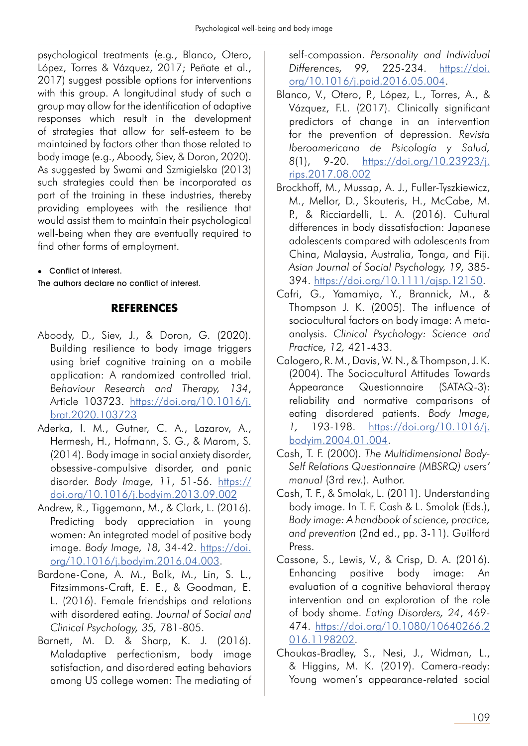psychological treatments (e.g., Blanco, Otero, López, Torres & Vázquez, 2017; Peñate et al., 2017) suggest possible options for interventions with this group. A longitudinal study of such a group may allow for the identification of adaptive responses which result in the development of strategies that allow for self-esteem to be maintained by factors other than those related to body image (e.g., Aboody, Siev, & Doron, 2020). As suggested by Swami and Szmigielska (2013) such strategies could then be incorporated as part of the training in these industries, thereby providing employees with the resilience that would assist them to maintain their psychological well-being when they are eventually required to find other forms of employment.

Conflict of interest.

The authors declare no conflict of interest.

## **REFERENCES**

- Aboody, D., Siev, J., & Doron, G. (2020). Building resilience to body image triggers using brief cognitive training on a mobile application: A randomized controlled trial. *Behaviour Research and Therapy, 134*, Article 103723. https://doi.org/10.1016/j. brat.2020.103723
- Aderka, I. M., Gutner, C. A., Lazarov, A., Hermesh, H., Hofmann, S. G., & Marom, S. (2014). Body image in social anxiety disorder, obsessive-compulsive disorder, and panic disorder. *Body Image, 11*, 51-56. https:// doi.org/10.1016/j.bodyim.2013.09.002
- Andrew, R., Tiggemann, M., & Clark, L. (2016). Predicting body appreciation in young women: An integrated model of positive body image. *Body Image, 18,* 34-42. https://doi. org/10.1016/j.bodyim.2016.04.003.
- Bardone-Cone, A. M., Balk, M., Lin, S. L., Fitzsimmons-Craft, E. E., & Goodman, E. L. (2016). Female friendships and relations with disordered eating. *Journal of Social and Clinical Psychology, 35,* 781-805.
- Barnett, M. D. & Sharp, K. J. (2016). Maladaptive perfectionism, body image satisfaction, and disordered eating behaviors among US college women: The mediating of

self-compassion. *Personality and Individual Differences, 99,* 225-234. https://doi. org/10.1016/j.paid.2016.05.004.

- Blanco, V., Otero, P., López, L., Torres, A., & Vázquez, F.L. (2017). Clinically significant predictors of change in an intervention for the prevention of depression. *Revista Iberoamericana de Psicología y Salud, 8*(1), 9-20. https://doi.org/10.23923/j. rips.2017.08.002
- Brockhoff, M., Mussap, A. J., Fuller-Tyszkiewicz, M., Mellor, D., Skouteris, H., McCabe, M. P., & Ricciardelli, L. A. (2016). Cultural differences in body dissatisfaction: Japanese adolescents compared with adolescents from China, Malaysia, Australia, Tonga, and Fiji. *Asian Journal of Social Psychology, 19,* 385- 394. https://doi.org/10.1111/ajsp.12150.
- Cafri, G., Yamamiya, Y., Brannick, M., & Thompson J. K. (2005). The influence of sociocultural factors on body image: A metaanalysis. *Clinical Psychology: Science and Practice, 12,* 421-433.
- Calogero, R. M., Davis, W. N., & Thompson, J. K. (2004). The Sociocultural Attitudes Towards Appearance Questionnaire (SATAQ-3): reliability and normative comparisons of eating disordered patients. *Body Image, 1,* 193-198. https://doi.org/10.1016/j. bodyim.2004.01.004.
- Cash, T. F. (2000). *The Multidimensional Body-Self Relations Questionnaire (MBSRQ) users' manual* (3rd rev.). Author.
- Cash, T. F., & Smolak, L. (2011). Understanding body image. In T. F. Cash & L. Smolak (Eds.), *Body image: A handbook of science, practice, and prevention* (2nd ed., pp. 3-11). Guilford Press.
- Cassone, S., Lewis, V., & Crisp, D. A. (2016). Enhancing positive body image: An evaluation of a cognitive behavioral therapy intervention and an exploration of the role of body shame. *Eating Disorders, 24*, 469- 474. https://doi.org/10.1080/10640266.2 016.1198202.
- Choukas-Bradley, S., Nesi, J., Widman, L., & Higgins, M. K. (2019). Camera-ready: Young women's appearance-related social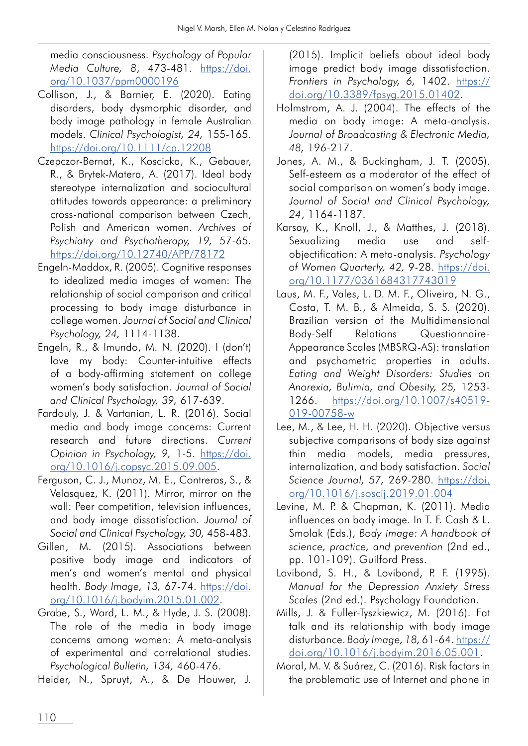media consciousness. *Psychology of Popular Media Culture, 8*, 473-481. https://doi. org/10.1037/ppm0000196

- Collison, J., & Barnier, E. (2020). Eating disorders, body dysmorphic disorder, and body image pathology in female Australian models. *Clinical Psychologist, 24,* 155-165. https://doi.org/10.1111/cp.12208
- Czepczor-Bernat, K., Koscicka, K., Gebauer, R., & Brytek-Matera, A. (2017). Ideal body stereotype internalization and sociocultural attitudes towards appearance: a preliminary cross-national comparison between Czech, Polish and American women. *Archives of Psychiatry and Psychotherapy, 19,* 57-65. https://doi.org/10.12740/APP/78172
- Engeln-Maddox, R. (2005). Cognitive responses to idealized media images of women: The relationship of social comparison and critical processing to body image disturbance in college women. *Journal of Social and Clinical Psychology, 24,* 1114-1138.
- Engeln, R., & Imundo, M. N. (2020). I (don't) love my body: Counter-intuitive effects of a body-affirming statement on college women's body satisfaction. *Journal of Social and Clinical Psychology, 39,* 617-639.
- Fardouly, J. & Vartanian, L. R. (2016). Social media and body image concerns: Current research and future directions. *Current Opinion in Psychology, 9,* 1-5. https://doi. org/10.1016/j.copsyc.2015.09.005.
- Ferguson, C. J., Munoz, M. E., Contreras, S., & Velasquez, K. (2011). Mirror, mirror on the wall: Peer competition, television influences, and body image dissatisfaction. *Journal of Social and Clinical Psychology, 30,* 458-483.
- Gillen, M. (2015). Associations between positive body image and indicators of men's and women's mental and physical health. *Body Image, 13,* 67-74. https://doi. org/10.1016/j.bodyim.2015.01.002.
- Grabe, S., Ward, L. M., & Hyde, J. S. (2008). The role of the media in body image concerns among women: A meta-analysis of experimental and correlational studies. *Psychological Bulletin, 134,* 460-476.

Heider, N., Spruyt, A., & De Houwer, J.

(2015). Implicit beliefs about ideal body image predict body image dissatisfaction. *Frontiers in Psychology, 6,* 1402. https:// doi.org/10.3389/fpsyg.2015.01402.

- Holmstrom, A. J. (2004). The effects of the media on body image: A meta-analysis. *Journal of Broadcasting & Electronic Media, 48,* 196-217.
- Jones, A. M., & Buckingham, J. T. (2005). Self-esteem as a moderator of the effect of social comparison on women's body image. *Journal of Social and Clinical Psychology, 24*, 1164-1187.
- Karsay, K., Knoll, J., & Matthes, J. (2018). Sexualizing media use and selfobjectification: A meta-analysis. *Psychology of Women Quarterly, 42,* 9-28. https://doi. org/10.1177/0361684317743019
- Laus, M. F., Vales, L. D. M. F., Oliveira, N. G., Costa, T. M. B., & Almeida, S. S. (2020). Brazilian version of the Multidimensional Body-Self Relations Questionnaire-Appearance Scales (MBSRQ-AS): translation and psychometric properties in adults. *Eating and Weight Disorders: Studies on Anorexia, Bulimia, and Obesity, 25,* 1253- 1266. https://doi.org/10.1007/s40519- 019-00758-w
- Lee, M., & Lee, H. H. (2020). Objective versus subjective comparisons of body size against thin media models, media pressures, internalization, and body satisfaction. *Social Science Journal, 57,* 269-280. https://doi. org/10.1016/j.soscij.2019.01.004
- Levine, M. P. & Chapman, K. (2011). Media influences on body image. In T. F. Cash & L. Smolak (Eds.), *Body image: A handbook of science, practice, and prevention* (2nd ed., pp. 101-109). Guilford Press.
- Lovibond, S. H., & Lovibond, P. F. (1995). *Manual for the Depression Anxiety Stress Scales* (2nd ed.). Psychology Foundation.
- Mills, J. & Fuller-Tyszkiewicz, M. (2016). Fat talk and its relationship with body image disturbance. *Body Image, 18,* 61-64. https:// doi.org/10.1016/j.bodyim.2016.05.001.
- Moral, M. V. & Suárez, C. (2016). Risk factors in the problematic use of Internet and phone in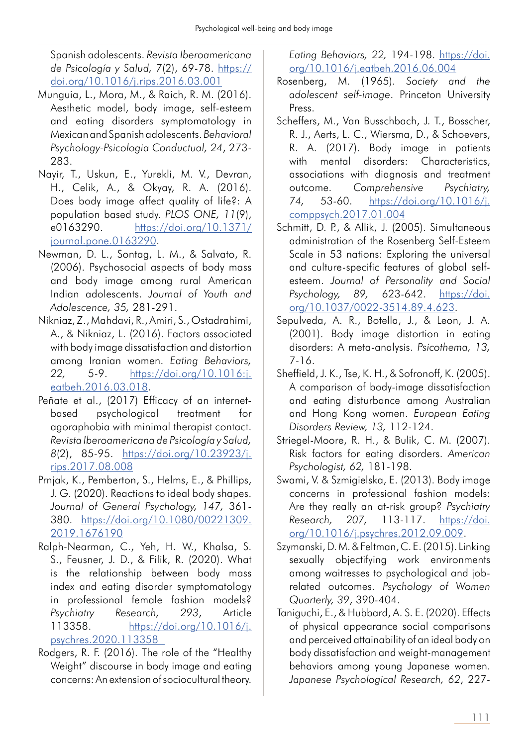Spanish adolescents. *Revista Iberoamericana de Psicología y Salud, 7*(2), 69-78. https:// doi.org/10.1016/j.rips.2016.03.001

- Munguia, L., Mora, M., & Raich, R. M. (2016). Aesthetic model, body image, self-esteem and eating disorders symptomatology in Mexican and Spanish adolescents. *Behavioral Psychology-Psicologia Conductual, 24*, 273- 283.
- Nayir, T., Uskun, E., Yurekli, M. V., Devran, H., Celik, A., & Okyay, R. A. (2016). Does body image affect quality of life?: A population based study. *PLOS ONE, 11*(9), e0163290. https://doi.org/10.1371/ journal.pone.0163290.
- Newman, D. L., Sontag, L. M., & Salvato, R. (2006). Psychosocial aspects of body mass and body image among rural American Indian adolescents. *Journal of Youth and Adolescence, 35,* 281-291.
- Nikniaz, Z., Mahdavi, R., Amiri, S., Ostadrahimi, A., & Nikniaz, L. (2016). Factors associated with body image dissatisfaction and distortion among Iranian women. *Eating Behaviors, 22,* 5-9. https://doi.org/10.1016:j. eatbeh.2016.03.018.
- Peñate et al., (2017) Efficacy of an internetbased psychological treatment for agoraphobia with minimal therapist contact. *Revista Iberoamericana de Psicología y Salud, 8*(2), 85-95. https://doi.org/10.23923/j. rips.2017.08.008
- Prnjak, K., Pemberton, S., Helms, E., & Phillips, J. G. (2020). Reactions to ideal body shapes. *Journal of General Psychology, 147,* 361- 380. https://doi.org/10.1080/00221309. 2019.1676190
- Ralph-Nearman, C., Yeh, H. W., Khalsa, S. S., Feusner, J. D., & Filik, R. (2020). What is the relationship between body mass index and eating disorder symptomatology in professional female fashion models? *Psychiatry Research, 293*, Article 113358. https://doi.org/10.1016/j. psychres.2020.113358
- Rodgers, R. F. (2016). The role of the "Healthy Weight" discourse in body image and eating concerns: An extension of sociocultural theory.

*Eating Behaviors, 22,* 194-198. https://doi. org/10.1016/j.eatbeh.2016.06.004

- Rosenberg, M. (1965). *Society and the adolescent self-image*. Princeton University Press.
- Scheffers, M., Van Busschbach, J. T., Bosscher, R. J., Aerts, L. C., Wiersma, D., & Schoevers, R. A. (2017). Body image in patients with mental disorders: Characteristics, associations with diagnosis and treatment outcome. *Comprehensive Psychiatry, 74,* 53-60. https://doi.org/10.1016/j. comppsych.2017.01.004
- Schmitt, D. P., & Allik, J. (2005). Simultaneous administration of the Rosenberg Self-Esteem Scale in 53 nations: Exploring the universal and culture-specific features of global selfesteem. *Journal of Personality and Social Psychology, 89,* 623-642. https://doi. org/10.1037/0022-3514.89.4.623.
- Sepulveda, A. R., Botella, J., & Leon, J. A. (2001). Body image distortion in eating disorders: A meta-analysis. *Psicothema, 13,* 7-16.
- Sheffield, J. K., Tse, K. H., & Sofronoff, K. (2005). A comparison of body-image dissatisfaction and eating disturbance among Australian and Hong Kong women. *European Eating Disorders Review, 13,* 112-124.
- Striegel-Moore, R. H., & Bulik, C. M. (2007). Risk factors for eating disorders. *American Psychologist, 62,* 181-198.
- Swami, V. & Szmigielska, E. (2013). Body image concerns in professional fashion models: Are they really an at-risk group? *Psychiatry Research, 207,* 113-117. https://doi. org/10.1016/j.psychres.2012.09.009.
- Szymanski, D. M. & Feltman, C. E. (2015). Linking sexually objectifying work environments among waitresses to psychological and jobrelated outcomes. *Psychology of Women Quarterly, 39*, 390-404.
- Taniguchi, E., & Hubbard, A. S. E. (2020). Effects of physical appearance social comparisons and perceived attainability of an ideal body on body dissatisfaction and weight-management behaviors among young Japanese women. *Japanese Psychological Research, 62*, 227-